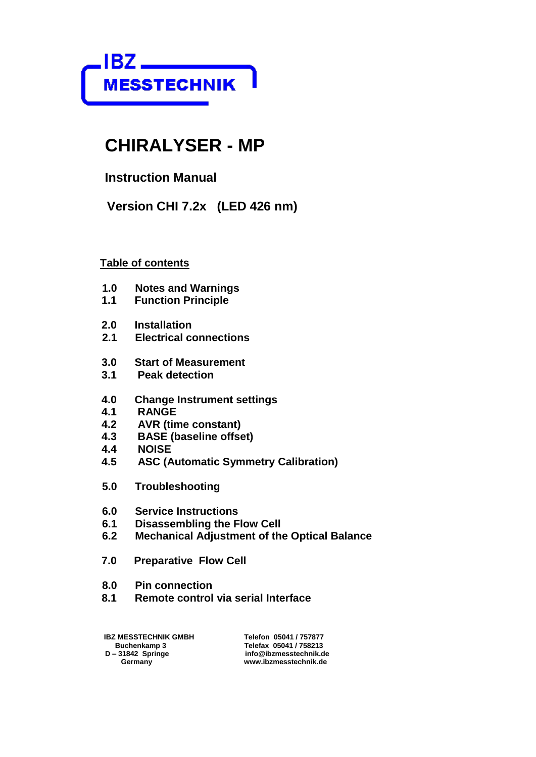

# **CHIRALYSER - MP**

 **Instruction Manual**

 **Version CHI 7.2x (LED 426 nm)**

#### **Table of contents**

- **1.0 Notes and Warnings**
- **Function Principle**
- **2.0 Installation**
- **2.1 Electrical connections**
- **3.0 Start of Measurement**
- **3.1 Peak detection**
- **4.0 Change Instrument settings**
- **4.1 RANGE**
- **4.2 AVR (time constant)**
- **4.3 BASE (baseline offset)**
- **4.4 NOISE**
- **4.5 ASC (Automatic Symmetry Calibration)**
- **5.0 Troubleshooting**
- **6.0 Service Instructions**
- **6.1 Disassembling the Flow Cell**
- **6.2 Mechanical Adjustment of the Optical Balance**
- **7.0 Preparative Flow Cell**
- **8.0 Pin connection**
- **8.1 Remote control via serial Interface**

**IBZ MESSTECHNIK GMBH** Telefon 05041 / 757877<br>Buchenkamp 3 **Telefax 05041 / 758213 Buchenkamp 3 Telefax 05041 / 758213<br>D-31842 Springe The State of the State of the State of D-31842 Springe The State of the State of the State of D – 31842 Springe info@ibzmesstechnik.de** 

www.ibzmesstechnik.de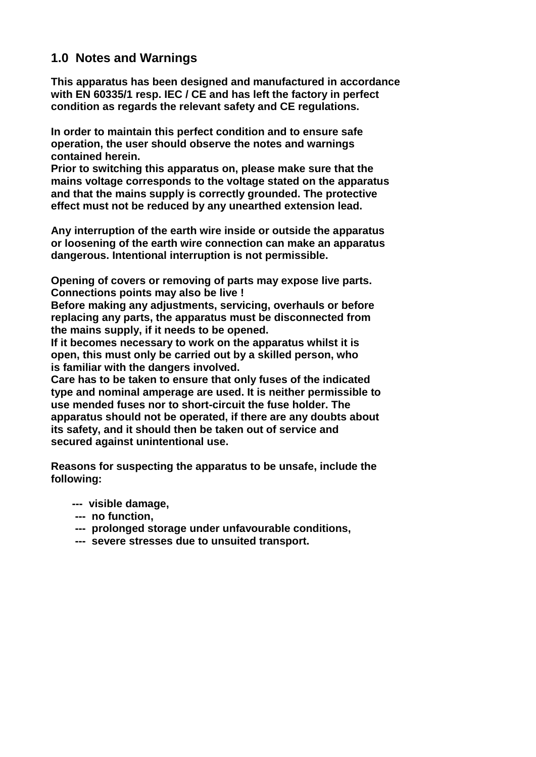#### **1.0 Notes and Warnings**

**This apparatus has been designed and manufactured in accordance with EN 60335/1 resp. IEC / CE and has left the factory in perfect condition as regards the relevant safety and CE regulations.**

**In order to maintain this perfect condition and to ensure safe operation, the user should observe the notes and warnings contained herein.**

**Prior to switching this apparatus on, please make sure that the mains voltage corresponds to the voltage stated on the apparatus and that the mains supply is correctly grounded. The protective effect must not be reduced by any unearthed extension lead.**

**Any interruption of the earth wire inside or outside the apparatus or loosening of the earth wire connection can make an apparatus dangerous. Intentional interruption is not permissible.**

**Opening of covers or removing of parts may expose live parts. Connections points may also be live !**

**Before making any adjustments, servicing, overhauls or before replacing any parts, the apparatus must be disconnected from the mains supply, if it needs to be opened.**

**If it becomes necessary to work on the apparatus whilst it is open, this must only be carried out by a skilled person, who is familiar with the dangers involved.**

**Care has to be taken to ensure that only fuses of the indicated type and nominal amperage are used. It is neither permissible to use mended fuses nor to short-circuit the fuse holder. The apparatus should not be operated, if there are any doubts about its safety, and it should then be taken out of service and secured against unintentional use.**

**Reasons for suspecting the apparatus to be unsafe, include the following:**

- **--- visible damage,**
- **--- no function,**
- **--- prolonged storage under unfavourable conditions,**
- **--- severe stresses due to unsuited transport.**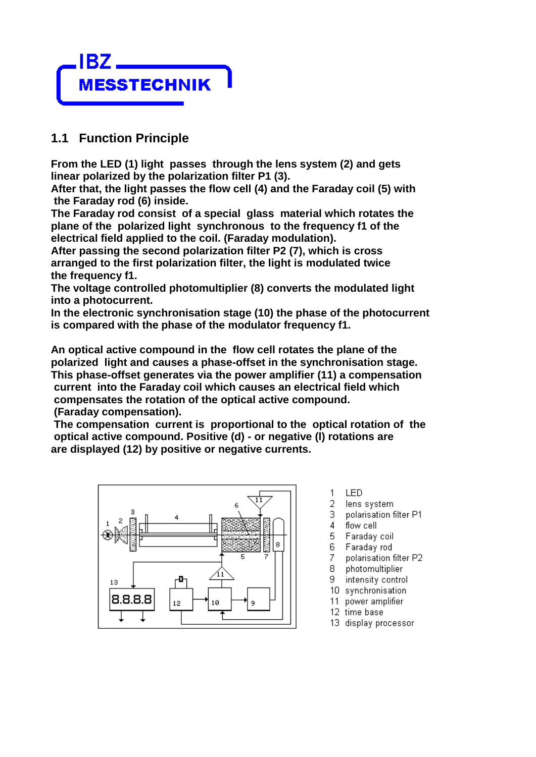

### **1.1 Function Principle**

**From the LED (1) light passes through the lens system (2) and gets linear polarized by the polarization filter P1 (3).**

**After that, the light passes the flow cell (4) and the Faraday coil (5) with the Faraday rod (6) inside.**

**The Faraday rod consist of a special glass material which rotates the plane of the polarized light synchronous to the frequency f1 of the electrical field applied to the coil. (Faraday modulation).**

**After passing the second polarization filter P2 (7), which is cross arranged to the first polarization filter, the light is modulated twice the frequency f1.**

**The voltage controlled photomultiplier (8) converts the modulated light into a photocurrent.**

**In the electronic synchronisation stage (10) the phase of the photocurrent is compared with the phase of the modulator frequency f1.**

**An optical active compound in the flow cell rotates the plane of the polarized light and causes a phase-offset in the synchronisation stage. This phase-offset generates via the power amplifier (11) a compensation current into the Faraday coil which causes an electrical field which compensates the rotation of the optical active compound. (Faraday compensation).**

**The compensation current is proportional to the optical rotation of the optical active compound. Positive (d) - or negative (l) rotations are are displayed (12) by positive or negative currents.** 



- $\mathbf{1}$ LED
- 2 lens system
- 3 polarisation filter P1
- 4 flow cell
- 5 Faraday coil
- Faraday rod 6
- 7 polarisation filter P2
- photomultiplier 8
- intensity control 9.
- 10 synchronisation
- 11 power amplifier
- 12 time base
- 13 display processor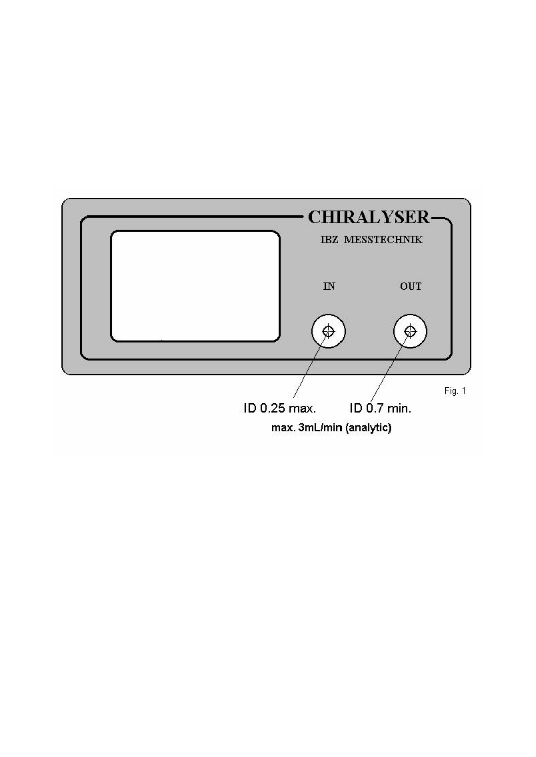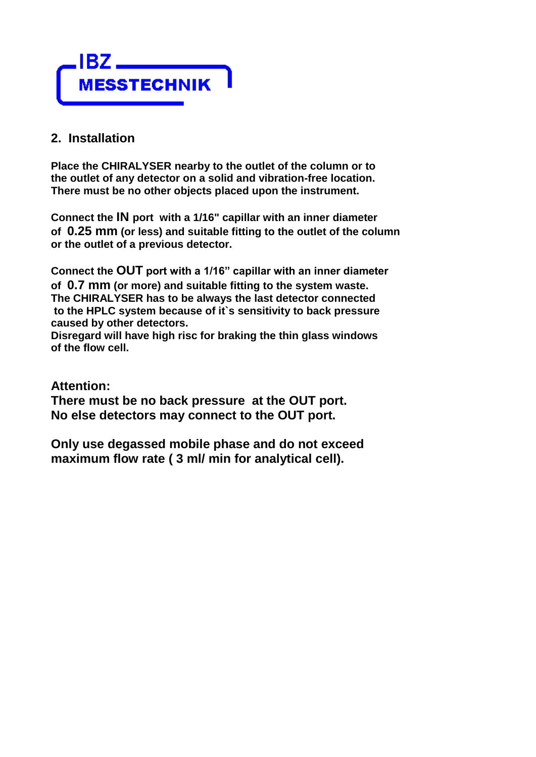

#### **2. Installation**

**Place the CHIRALYSER nearby to the outlet of the column or to the outlet of any detector on a solid and vibration-free location. There must be no other objects placed upon the instrument.**

**Connect the IN port with a 1/16" capillar with an inner diameter of 0.25 mm (or less) and suitable fitting to the outlet of the column or the outlet of a previous detector.**

**Connect the OUT port with a 1/16" capillar with an inner diameter of 0.7 mm (or more) and suitable fitting to the system waste. The CHIRALYSER has to be always the last detector connected to the HPLC system because of it`s sensitivity to back pressure caused by other detectors.**

**Disregard will have high risc for braking the thin glass windows of the flow cell.**

#### **Attention:**

**There must be no back pressure at the OUT port. No else detectors may connect to the OUT port.**

**Only use degassed mobile phase and do not exceed maximum flow rate ( 3 ml/ min for analytical cell).**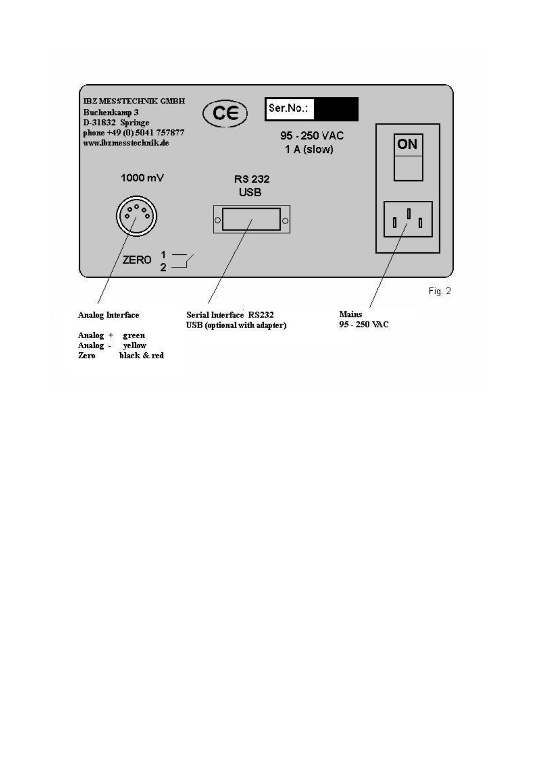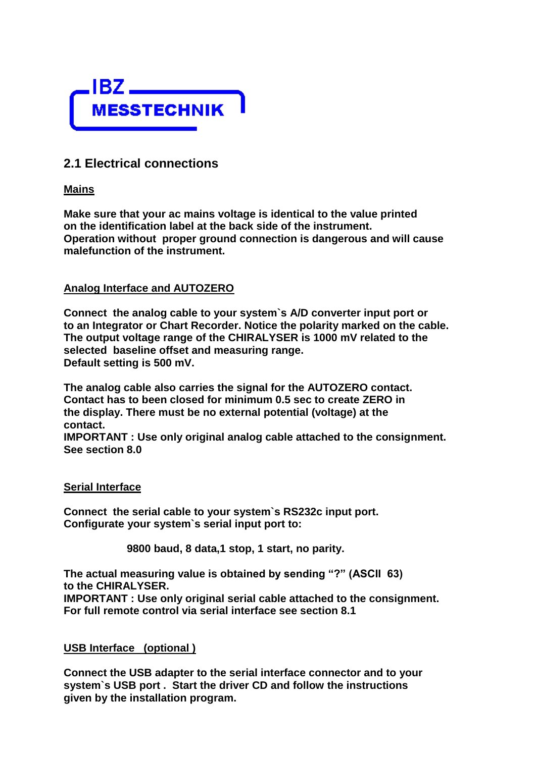

### **2.1 Electrical connections**

#### **Mains**

**Make sure that your ac mains voltage is identical to the value printed on the identification label at the back side of the instrument. Operation without proper ground connection is dangerous and will cause malefunction of the instrument.**

#### **Analog Interface and AUTOZERO**

**Connect the analog cable to your system`s A/D converter input port or to an Integrator or Chart Recorder. Notice the polarity marked on the cable. The output voltage range of the CHIRALYSER is 1000 mV related to the selected baseline offset and measuring range. Default setting is 500 mV.**

**The analog cable also carries the signal for the AUTOZERO contact. Contact has to been closed for minimum 0.5 sec to create ZERO in the display. There must be no external potential (voltage) at the contact.** 

**IMPORTANT : Use only original analog cable attached to the consignment. See section 8.0**

#### **Serial Interface**

**Connect the serial cable to your system`s RS232c input port. Configurate your system`s serial input port to:**

 **9800 baud, 8 data,1 stop, 1 start, no parity.**

**The actual measuring value is obtained by sending "?" (ASCII 63) to the CHIRALYSER.**

**IMPORTANT : Use only original serial cable attached to the consignment. For full remote control via serial interface see section 8.1**

#### **USB Interface (optional )**

**Connect the USB adapter to the serial interface connector and to your system`s USB port . Start the driver CD and follow the instructions given by the installation program.**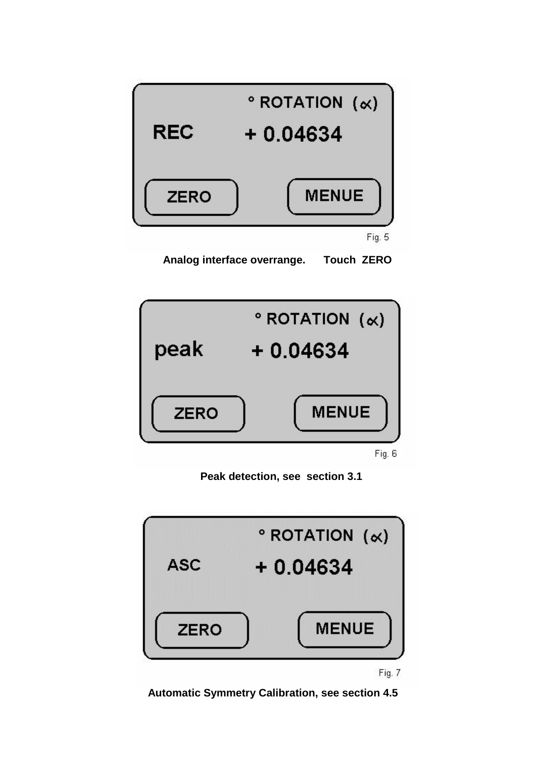

 **Analog interface overrange. Touch ZERO**



Fig. 6

 **Peak detection, see section 3.1**



Fig. 7

 **Automatic Symmetry Calibration, see section 4.5**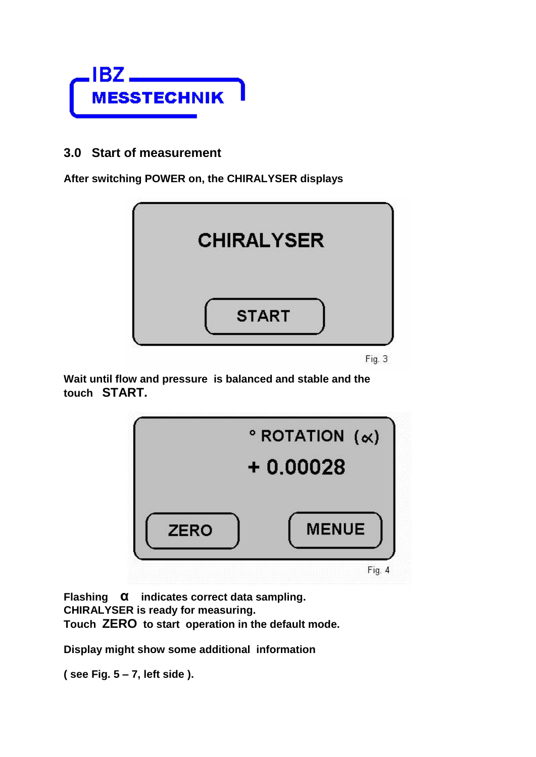

#### **3.0 Start of measurement**

**After switching POWER on, the CHIRALYSER displays** 



Fig. 3

**Wait until flow and pressure is balanced and stable and the touch START.** 



**Flashing α indicates correct data sampling. CHIRALYSER is ready for measuring. Touch ZERO to start operation in the default mode.**

**Display might show some additional information**

**( see Fig. 5 – 7, left side ).**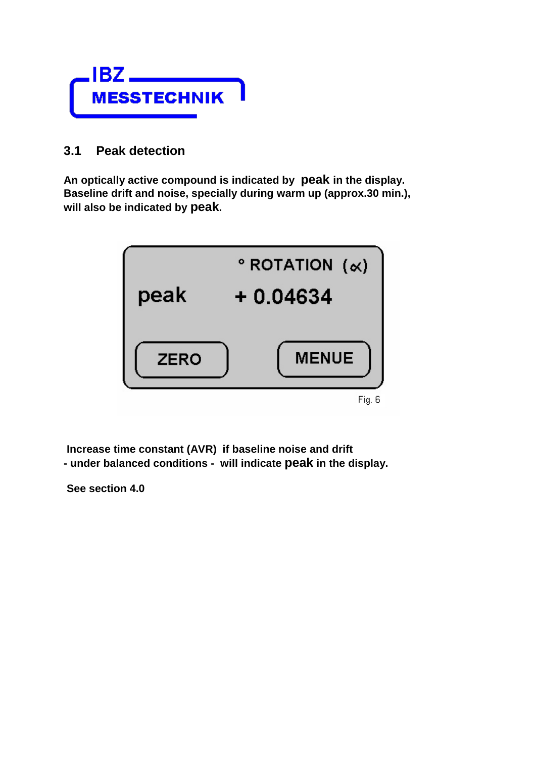

#### **3.1 Peak detection**

**An optically active compound is indicated by peak in the display. Baseline drift and noise, specially during warm up (approx.30 min.), will also be indicated by peak.** 



**Increase time constant (AVR) if baseline noise and drift - under balanced conditions - will indicate peak in the display.**

**See section 4.0**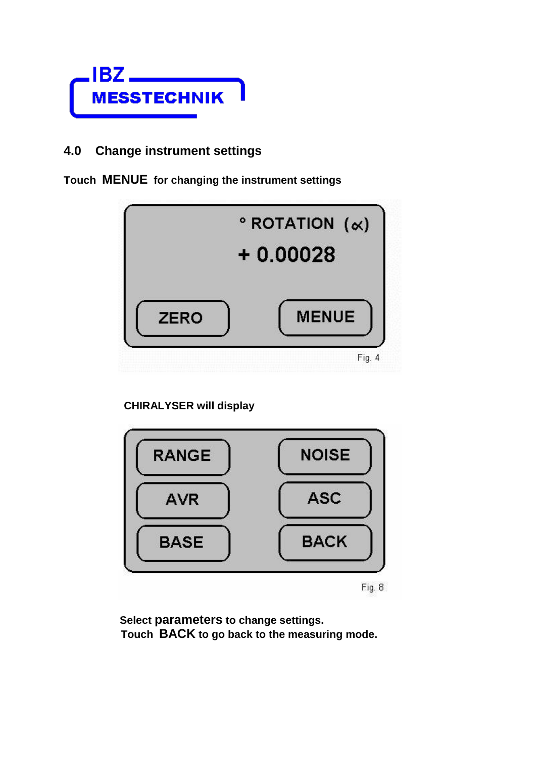

### **4.0 Change instrument settings**

**Touch MENUE for changing the instrument settings**



#### **CHIRALYSER will display**



Fig. 8

 **Select parameters to change settings. Touch BACK to go back to the measuring mode.**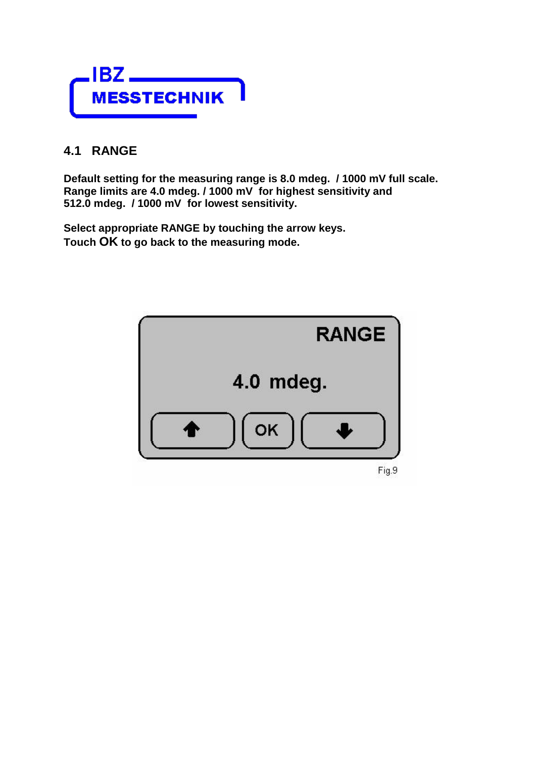

### **4.1 RANGE**

**Default setting for the measuring range is 8.0 mdeg. / 1000 mV full scale. Range limits are 4.0 mdeg. / 1000 mV for highest sensitivity and 512.0 mdeg. / 1000 mV for lowest sensitivity.**

**Select appropriate RANGE by touching the arrow keys. Touch OK to go back to the measuring mode.**

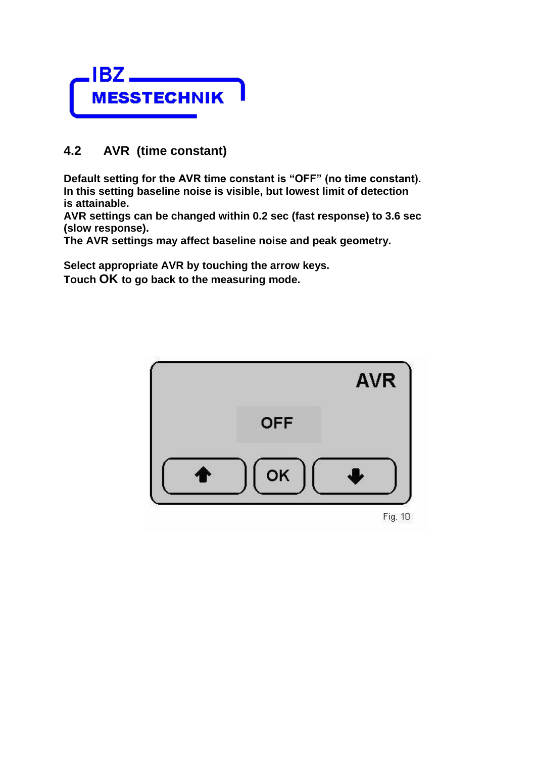

### **4.2 AVR (time constant)**

**Default setting for the AVR time constant is "OFF" (no time constant). In this setting baseline noise is visible, but lowest limit of detection is attainable.**

**AVR settings can be changed within 0.2 sec (fast response) to 3.6 sec (slow response).**

**The AVR settings may affect baseline noise and peak geometry.**

**Select appropriate AVR by touching the arrow keys. Touch OK to go back to the measuring mode.**

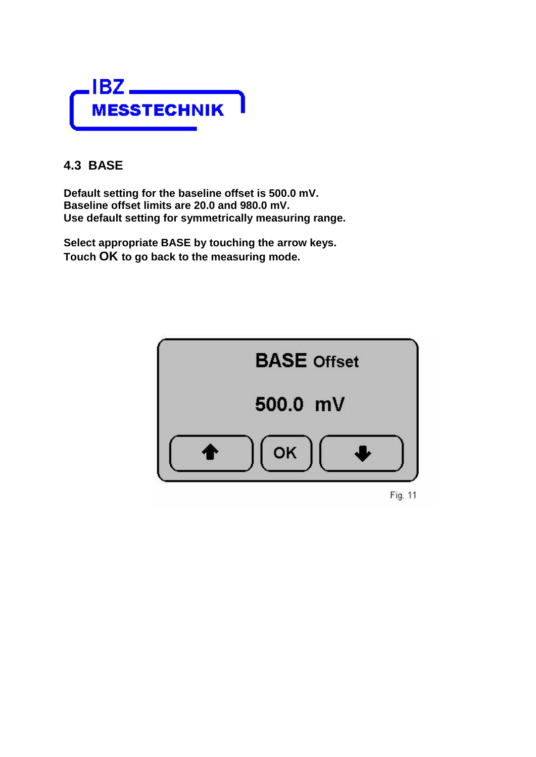

### **4.3 BASE**

**Default setting for the baseline offset is 500.0 mV. Baseline offset limits are 20.0 and 980.0 mV. Use default setting for symmetrically measuring range.**

**Select appropriate BASE by touching the arrow keys. Touch OK to go back to the measuring mode.**



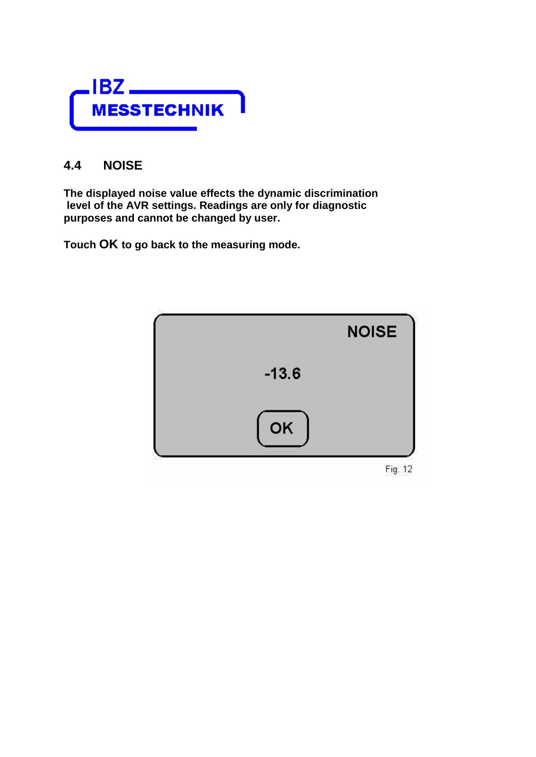

### **4.4 NOISE**

**The displayed noise value effects the dynamic discrimination level of the AVR settings. Readings are only for diagnostic purposes and cannot be changed by user.**

**Touch OK to go back to the measuring mode.**

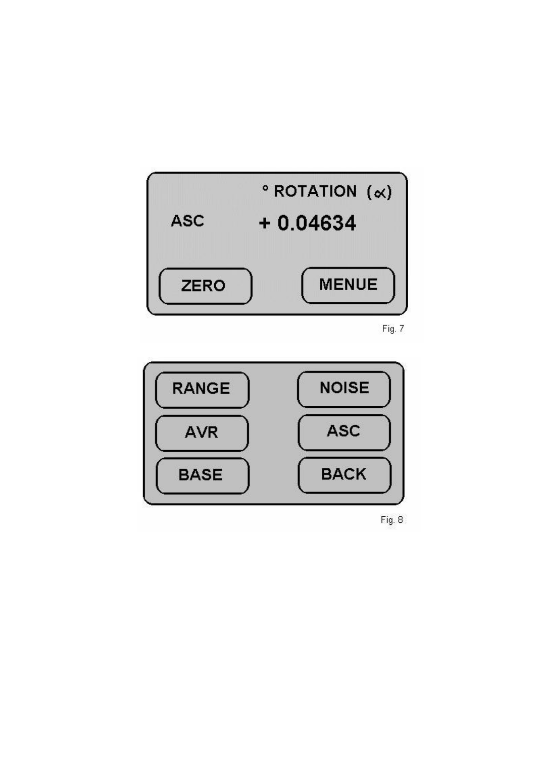

Fig. 7



Fig. 8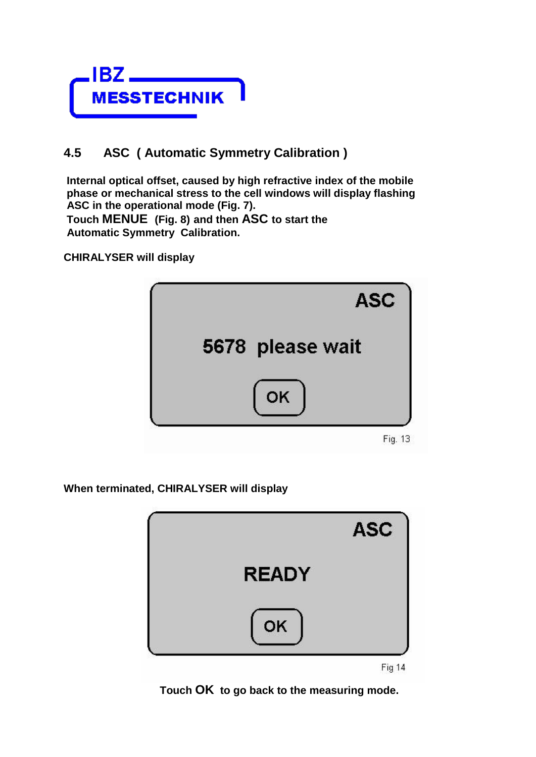

## **4.5 ASC ( Automatic Symmetry Calibration )**

**Internal optical offset, caused by high refractive index of the mobile phase or mechanical stress to the cell windows will display flashing ASC in the operational mode (Fig. 7). Touch MENUE (Fig. 8) and then ASC to start the Automatic Symmetry Calibration.**

**CHIRALYSER will display**



**When terminated, CHIRALYSER will display**



Fig 14

 **Touch OK to go back to the measuring mode.**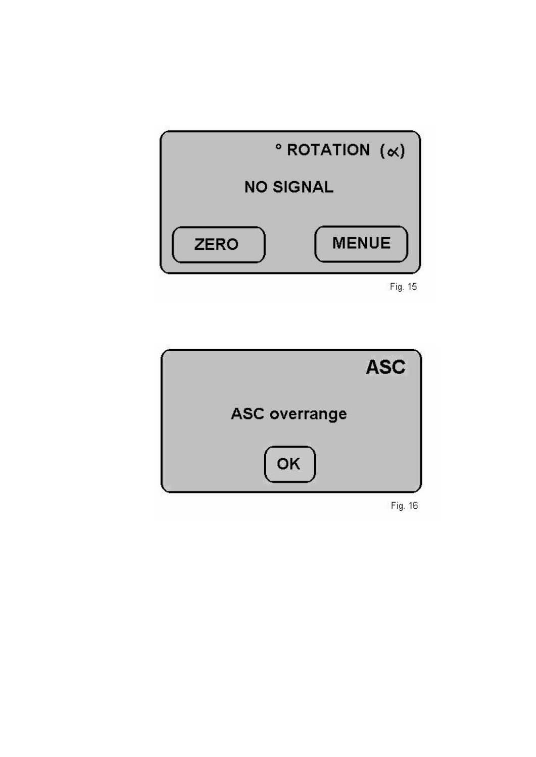

Fig. 15



Fig. 16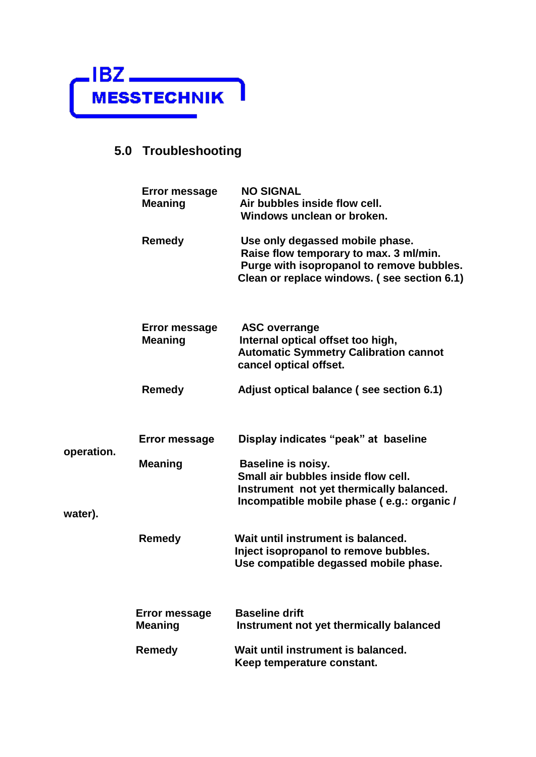

# **5.0 Troubleshooting**

|            | Error message<br><b>Meaning</b>        | <b>NO SIGNAL</b><br>Air bubbles inside flow cell.<br>Windows unclean or broken.                                                                                       |  |
|------------|----------------------------------------|-----------------------------------------------------------------------------------------------------------------------------------------------------------------------|--|
|            | <b>Remedy</b>                          | Use only degassed mobile phase.<br>Raise flow temporary to max. 3 ml/min.<br>Purge with isopropanol to remove bubbles.<br>Clean or replace windows. (see section 6.1) |  |
|            | <b>Error message</b><br><b>Meaning</b> | <b>ASC overrange</b><br>Internal optical offset too high,<br><b>Automatic Symmetry Calibration cannot</b><br>cancel optical offset.                                   |  |
|            | <b>Remedy</b>                          | Adjust optical balance (see section 6.1)                                                                                                                              |  |
|            | <b>Error message</b>                   | Display indicates "peak" at baseline                                                                                                                                  |  |
| operation. | <b>Meaning</b>                         | <b>Baseline is noisy.</b><br>Small air bubbles inside flow cell.<br>Instrument not yet thermically balanced.<br>Incompatible mobile phase (e.g.: organic /            |  |
| water).    | <b>Remedy</b>                          | Wait until instrument is balanced.<br>Inject isopropanol to remove bubbles.<br>Use compatible degassed mobile phase.                                                  |  |
|            | <b>Error message</b><br><b>Meaning</b> | <b>Baseline drift</b><br>Instrument not yet thermically balanced                                                                                                      |  |
|            | <b>Remedy</b>                          | Wait until instrument is balanced.<br>Keep temperature constant.                                                                                                      |  |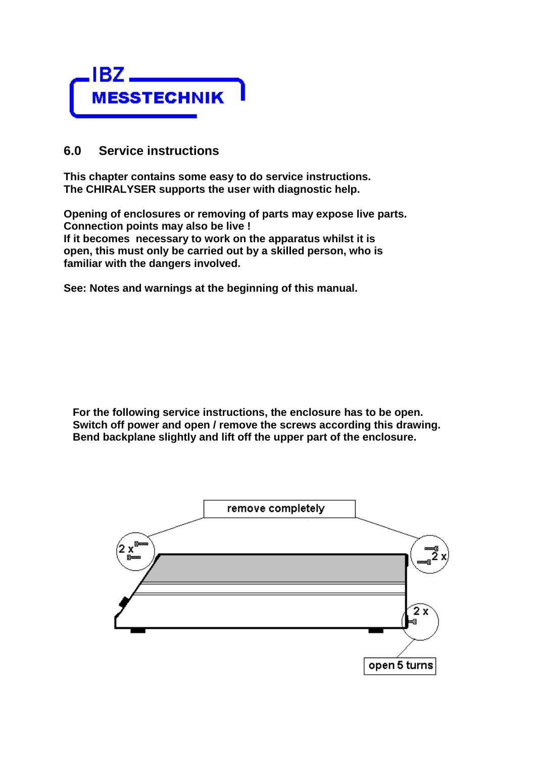

#### **6.0 Service instructions**

**This chapter contains some easy to do service instructions. The CHIRALYSER supports the user with diagnostic help.**

**Opening of enclosures or removing of parts may expose live parts. Connection points may also be live ! If it becomes necessary to work on the apparatus whilst it is open, this must only be carried out by a skilled person, who is familiar with the dangers involved.**

**See: Notes and warnings at the beginning of this manual.**

 **For the following service instructions, the enclosure has to be open. Switch off power and open / remove the screws according this drawing. Bend backplane slightly and lift off the upper part of the enclosure.**

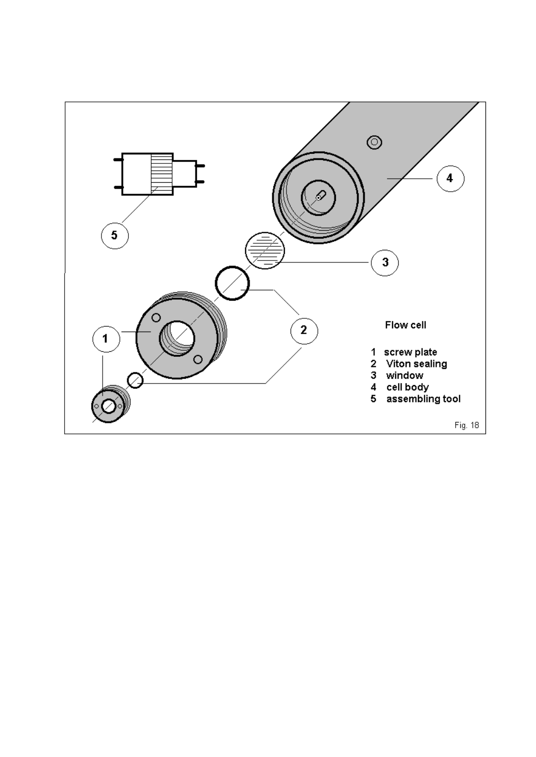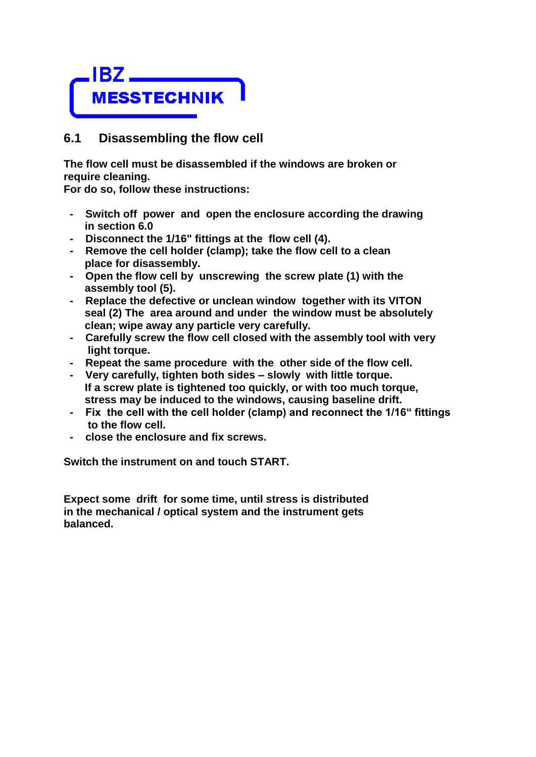

#### **6.1 Disassembling the flow cell**

**The flow cell must be disassembled if the windows are broken or require cleaning.**

**For do so, follow these instructions:**

- **Switch off power and open the enclosure according the drawing in section 6.0**
- **Disconnect the 1/16" fittings at the flow cell (4).**
- **Remove the cell holder (clamp); take the flow cell to a clean place for disassembly.**
- **Open the flow cell by unscrewing the screw plate (1) with the assembly tool (5).**
- **Replace the defective or unclean window together with its VITON seal (2) The area around and under the window must be absolutely clean; wipe away any particle very carefully.**
- **Carefully screw the flow cell closed with the assembly tool with very light torque.**
- **Repeat the same procedure with the other side of the flow cell.**
- **Very carefully, tighten both sides – slowly with little torque. If a screw plate is tightened too quickly, or with too much torque, stress may be induced to the windows, causing baseline drift.**
- **Fix the cell with the cell holder (clamp) and reconnect the 1/16" fittings to the flow cell.**
- **close the enclosure and fix screws.**

**Switch the instrument on and touch START.**

**Expect some drift for some time, until stress is distributed in the mechanical / optical system and the instrument gets balanced.**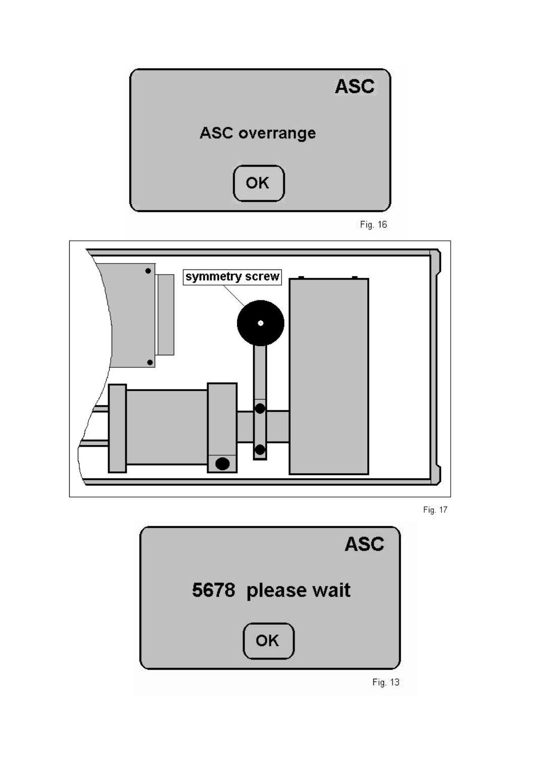

Fig. 16







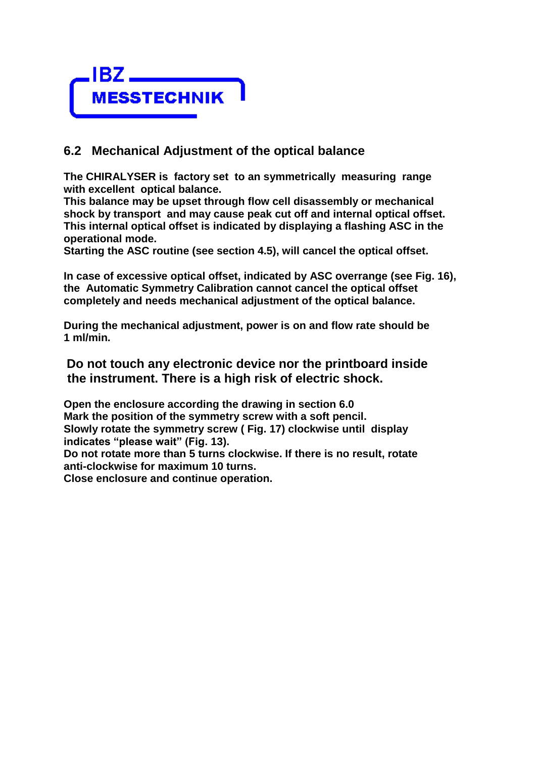

#### **6.2 Mechanical Adjustment of the optical balance**

**The CHIRALYSER is factory set to an symmetrically measuring range with excellent optical balance.**

**This balance may be upset through flow cell disassembly or mechanical shock by transport and may cause peak cut off and internal optical offset. This internal optical offset is indicated by displaying a flashing ASC in the operational mode.**

**Starting the ASC routine (see section 4.5), will cancel the optical offset.**

**In case of excessive optical offset, indicated by ASC overrange (see Fig. 16), the Automatic Symmetry Calibration cannot cancel the optical offset completely and needs mechanical adjustment of the optical balance.**

**During the mechanical adjustment, power is on and flow rate should be 1 ml/min.**

**Do not touch any electronic device nor the printboard inside the instrument. There is a high risk of electric shock.**

**Open the enclosure according the drawing in section 6.0 Mark the position of the symmetry screw with a soft pencil. Slowly rotate the symmetry screw ( Fig. 17) clockwise until display indicates "please wait" (Fig. 13).** 

**Do not rotate more than 5 turns clockwise. If there is no result, rotate anti-clockwise for maximum 10 turns.**

**Close enclosure and continue operation.**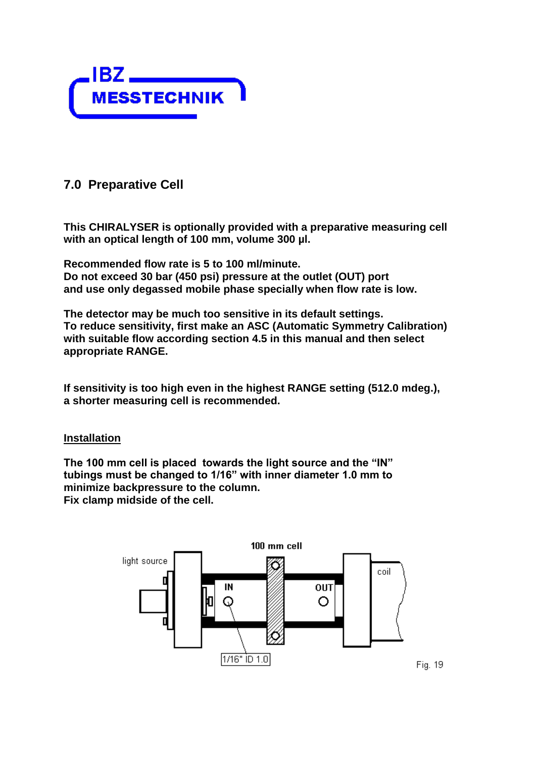

### **7.0 Preparative Cell**

**This CHIRALYSER is optionally provided with a preparative measuring cell with an optical length of 100 mm, volume 300 µl.**

**Recommended flow rate is 5 to 100 ml/minute. Do not exceed 30 bar (450 psi) pressure at the outlet (OUT) port and use only degassed mobile phase specially when flow rate is low.**

**The detector may be much too sensitive in its default settings. To reduce sensitivity, first make an ASC (Automatic Symmetry Calibration) with suitable flow according section 4.5 in this manual and then select appropriate RANGE.**

**If sensitivity is too high even in the highest RANGE setting (512.0 mdeg.), a shorter measuring cell is recommended.**

#### **Installation**

**The 100 mm cell is placed towards the light source and the "IN" tubings must be changed to 1/16" with inner diameter 1.0 mm to minimize backpressure to the column. Fix clamp midside of the cell.**

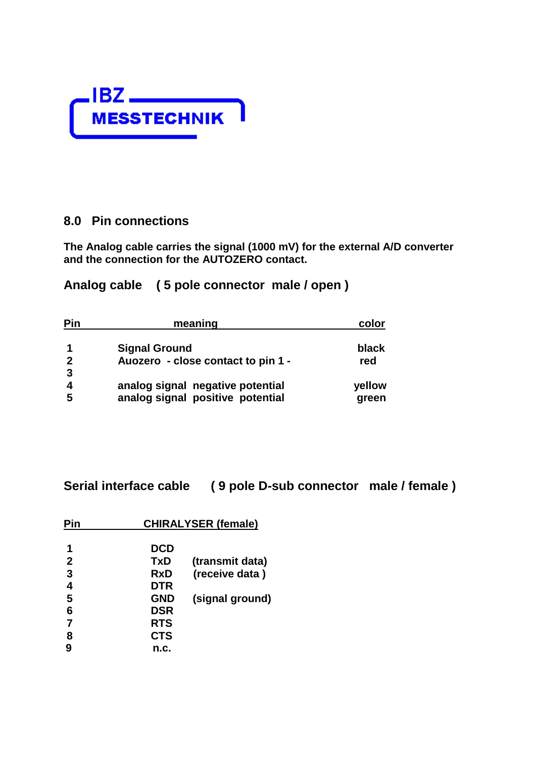

#### **8.0 Pin connections**

**The Analog cable carries the signal (1000 mV) for the external A/D converter and the connection for the AUTOZERO contact.**

**Analog cable ( 5 pole connector male / open )**

| Pin            | meaning                            | color  |
|----------------|------------------------------------|--------|
|                | <b>Signal Ground</b>               | black  |
| $\overline{2}$ | Auozero - close contact to pin 1 - | red    |
| $\mathbf{3}$   |                                    |        |
|                | analog signal negative potential   | yellow |
| 5              | analog signal positive potential   | green  |

**Serial interface cable ( 9 pole D-sub connector male / female )**

| Pin            | <b>CHIRALYSER (female)</b> |                 |  |  |  |
|----------------|----------------------------|-----------------|--|--|--|
|                | <b>DCD</b>                 |                 |  |  |  |
| $\overline{2}$ | <b>TxD</b>                 | (transmit data) |  |  |  |
| 3              | RxD                        | (receive data)  |  |  |  |
| 4              | <b>DTR</b>                 |                 |  |  |  |
| 5              | <b>GND</b>                 | (signal ground) |  |  |  |
| 6              | <b>DSR</b>                 |                 |  |  |  |
| $\overline{7}$ | <b>RTS</b>                 |                 |  |  |  |
| 8              | <b>CTS</b>                 |                 |  |  |  |
| 9              | n.c.                       |                 |  |  |  |